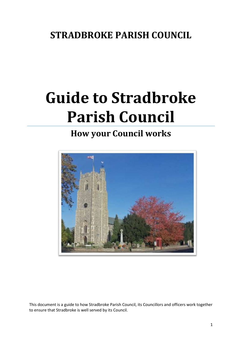## **STRADBROKE PARISH COUNCIL**

# **Guide to Stradbroke Parish Council**

## **How your Council works**



This document is a guide to how Stradbroke Parish Council, its Councillors and officers work together to ensure that Stradbroke is well served by its Council.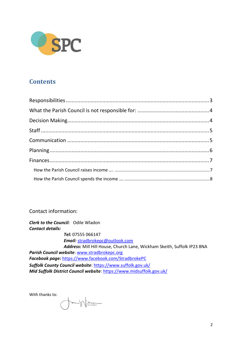

### **Contents**

Contact information:

*Clerk to the Council:* Odile Wladon *Contact details: Tel:* 07555 066147 *Email:* [stradbrokepc@outlook.com](mailto:stradbrokepc@outlook.com) *Address***:** Mill Hill House, Church Lane, Wickham Skeith, Suffolk IP23 8NA *Parish Council website*: [www.stradbrokepc.org](http://www.stradbrokepc.org/) *Facebook page:* <https://www.facebook.com/StradbrokePC> *Suffolk County Council website*:<https://www.suffolk.gov.uk/> *Mid Suffolk District Council website*[: https://www.midsuffolk.gov.uk/](https://www.midsuffolk.gov.uk/)

With thanks to:

Million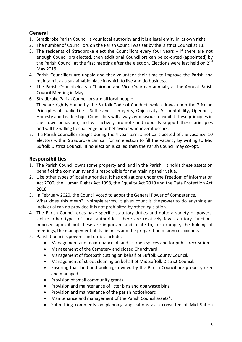#### **General**

- 1. Stradbroke Parish Council is your local authority and it is a legal entity in its own right.
- 2. The number of Councillors on the Parish Council was set by the District Council at 13.
- 3. The residents of Stradbroke elect the Councillors every four years if there are not enough Councillors elected, then additional Councillors can be co-opted (appointed) by the Parish Council at the first meeting after the election. Elections were last held on  $2^{nd}$ May 2019.
- 4. Parish Councillors are unpaid and they volunteer their time to improve the Parish and maintain it as a sustainable place in which to live and do business.
- 5. The Parish Council elects a Chairman and Vice Chairman annually at the Annual Parish Council Meeting in May.
- 6. Stradbroke Parish Councillors are all local people.

They are rightly bound by the Suffolk Code of Conduct, which draws upon the 7 Nolan Principles of Public Life – Selflessness, Integrity, Objectivity, Accountability, Openness, Honesty and Leadership. Councillors will always endeavour to exhibit these principles in their own behaviour, and will actively promote and robustly support these principles and will be willing to challenge poor behaviour whenever it occurs.

7. If a Parish Councillor resigns during the 4 year term a notice is posted of the vacancy. 10 electors within Stradbroke can call for an election to fill the vacancy by writing to Mid Suffolk District Council. If no election is called then the Parish Council may co-opt.

#### <span id="page-2-0"></span>**Responsibilities**

- 1. The Parish Council owns some property and land in the Parish. It holds these assets on behalf of the community and is responsible for maintaining their value.
- 2. Like other types of local authorities, it has obligations under the Freedom of Information Act 2000, the Human Rights Act 1998, the Equality Act 2010 and the Data Protection Act 2018.
- 3. In February 2020, the Council voted to adopt the General Power of Competence. What does this mean? In **simple** terms, it gives councils the **power** to do anything an individual can do provided it is not prohibited by other legislation.
- 4. The Parish Council does have specific statutory duties and quite a variety of powers. Unlike other types of local authorities, there are relatively few statutory functions imposed upon it but these are important and relate to, for example, the holding of meetings, the management of its finances and the preparation of annual accounts.
- 5. Parish Council's powers and duties include:
	- Management and maintenance of land as open spaces and for public recreation.
	- Management of the Cemetery and closed Churchyard.
	- Management of footpath cutting on behalf of Suffolk County Council.
	- Management of street cleaning on behalf of Mid Suffolk District Council.
	- Ensuring that land and buildings owned by the Parish Council are properly used and managed.
	- Provision of small community grants.
	- Provision and maintenance of litter bins and dog waste bins.
	- Provision and maintenance of the parish noticeboard.
	- Maintenance and management of the Parish Council assets\*.
	- Submitting comments on planning applications as a consultee of Mid Suffolk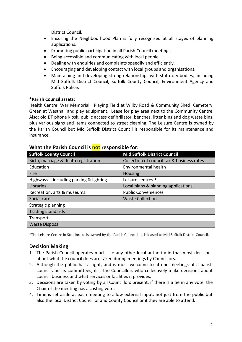District Council.

- Ensuring the Neighbourhood Plan is fully recognised at all stages of planning applications.
- Promoting public participation in all Parish Council meetings.
- Being accessible and communicating with local people.
- Dealing with enquiries and complaints speedily and efficiently.
- Encouraging and developing contact with local groups and organisations.
- Maintaining and developing strong relationships with statutory bodies, including Mid Suffolk District Council, Suffolk County Council, Environment Agency and Suffolk Police.

#### **\*Parish Council assets:**

Health Centre, War Memorial, Playing Field at Wilby Road & Community Shed, Cemetery, Green at Westhall and play equipment. Lease for play area next to the Community Centre. Also: old BT phone kiosk, public access defibrillator, benches, litter bins and dog waste bins, plus various signs and items connected to street cleaning. The Leisure Centre is owned by the Parish Council but Mid Suffolk District Council is responsible for its maintenance and insurance.

| <b>Suffolk County Council</b>           | <b>Mid Suffolk District Council</b>        |  |
|-----------------------------------------|--------------------------------------------|--|
| Birth, marriage & death registration    | Collection of council tax & business rates |  |
| Education                               | Environmental health                       |  |
| Fire                                    | <b>Housing</b>                             |  |
| Highways - including parking & lighting | Leisure centres *                          |  |
| Libraries                               | Local plans & planning applications        |  |
| Recreation, arts & museums              | <b>Public Conveniences</b>                 |  |
| Social care                             | <b>Waste Collection</b>                    |  |
| Strategic planning                      |                                            |  |
| <b>Trading standards</b>                |                                            |  |
| Transport                               |                                            |  |
| <b>Waste Disposal</b>                   |                                            |  |

#### <span id="page-3-0"></span>**What the Parish Council is not responsible for:**

\*The Leisure Centre in Stradbroke is owned by the Parish Council but is leased to Mid Suffolk District Council.

#### <span id="page-3-1"></span>**Decision Making**

- 1. The Parish Council operates much like any other local authority in that most decisions about what the council does are taken during meetings by Councillors.
- 2. Although the public has a right, and is most welcome to attend meetings of a parish council and its committees, it is the Councillors who collectively make decisions about council business and what services or facilities it provides.
- 3. Decisions are taken by voting by all Councillors present, if there is a tie in any vote, the Chair of the meeting has a casting vote.
- 4. Time is set aside at each meeting to allow external input, not just from the public but also the local District Councillor and County Councillor if they are able to attend.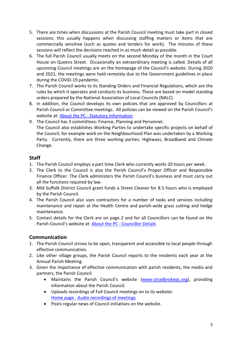- 5. There are times when discussions at the Parish Council meeting must take part in closed sessions; this usually happens when discussing staffing matters or items that are commercially sensitive (such as quotes and tenders for work). The minutes of these sessions will reflect the decisions reached in as much detail as possible.
- 6. The full Parish Council usually meets on the second Monday of the month in the Court House on Queens Street. Occasionally an extraordinary meeting is called. Details of all upcoming Council meetings are on the homepage of the Council's website. During 2020 and 2021, the meetings were held remotely due to the Government guidelines in place during the COVID-19 pandemic.
- 7. The Parish Council works to its Standing Orders and Financial Regulations, which are the rules by which it operates and conducts its business. These are based on model standing orders prepared by the National Association of Local Councils (NALC).
- 8. In addition, the Council develops its own policies that are approved by Councillors at Parish Council or Committee meetings. All policies can be viewed on the Parish Council's website at: About the PC - [Statutory Information](https://www.stradbrokepc.org/statutory-information)
- 9. The Council has 3 committees: Finance, Planning and Personnel. The Council also establishes Working Parties to undertake specific projects on behalf of the Council; for example work on the Neighbourhood Plan was undertaken by a Working Party. Currently, there are three working parties: Highways, Broadband and Climate Change.

#### <span id="page-4-0"></span>**Staff**

- 1. The Parish Council employs a part time Clerk who currently works 20 hours per week.
- 2. The Clerk to the Council is also the Parish Council's Proper Officer and Responsible Finance Officer. The Clerk administers the Parish Council's business and must carry out all the functions required by law.
- 3. Mid Suffolk District Council grant funds a Street Cleaner for 8.5 hours who is employed by the Parish Council.
- 4. The Parish Council also uses contractors for a number of tasks and services including maintenance and repair at the Health Centre and parish-wide grass cutting and hedge maintenance.
- 5. Contact details for the Clerk are on page 2 and for all Councillors can be found on the Parish Council's website at: **About the PC - [Councillor Details](https://www.stradbrokepc.org/councillors)**

#### <span id="page-4-1"></span>**Communication**

- 1. The Parish Council strives to be open, transparent and accessible to local people through effective communication.
- 2. Like other village groups, the Parish Council reports to the residents each year at the Annual Parish Meeting.
- 3. Given the importance of effective communication with parish residents, the media and partners, the Parish Council:
	- Maintains the Parish Council's website [\(www.stradbrokepc.org\)](http://www.stradbrokepc.org/), providing information about the Parish Council.
	- Uploads recordings of Full Council meetings on to its website: Home page - [Audio recordings of meetings](https://www.stradbrokepc.org/podcast)
	- Posts regular news of Council initiatives on the website.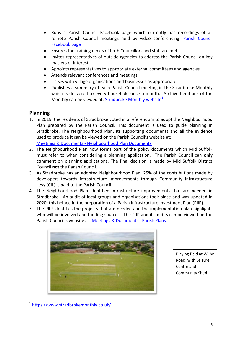- Runs a Parish Council Facebook page which currently has recordings of all remote Parish Council meetings held by video conferencing: [Parish Council](https://www.facebook.com/StradbrokePC)  [Facebook page](https://www.facebook.com/StradbrokePC)
- Ensures the training needs of both Councillors and staff are met.
- Invites representatives of outside agencies to address the Parish Council on key matters of interest.
- Appoints representatives to appropriate external committees and agencies.
- Attends relevant conferences and meetings.
- Liaises with village organisations and businesses as appropriate.
- Publishes a summary of each Parish Council meeting in the Stradbroke Monthly which is delivered to every household once a month. Archived editions of the Monthly can be viewed at: [Stradbroke](https://www.stradbrokemonthly.co.uk/) Monthly website<sup>1</sup>

#### <span id="page-5-0"></span>**Planning**

- 1. In 2019, the residents of Stradbroke voted in a referendum to adopt the Neighbourhood Plan prepared by the Parish Council. This document is used to guide planning in Stradbroke. The Neighbourhood Plan, its supporting documents and all the evidence used to produce it can be viewed on the Parish Council's website at: Meetings & Documents - [Neighbourhood Plan Documents](https://www.stradbrokepc.org/neighbourhood-plan-documents)
- 2. The Neighbourhood Plan now forms part of the policy documents which Mid Suffolk must refer to when considering a planning application. The Parish Council can **only comment** on planning applications. The final decision is made by Mid Suffolk District Council **not** the Parish Council.
- 3. As Stradbroke has an adopted Neighbourhood Plan, 25% of the contributions made by developers towards infrastructure improvements through Community Infrastructure Levy (CIL) is paid to the Parish Council.
- 4. The Neighbourhood Plan identified infrastructure improvements that are needed in Stradbroke. An audit of local groups and organisations took place and was updated in 2020; this helped in the preparation of a Parish Infrastructure Investment Plan (PIIP).
- 5. The PIIP identifies the projects that are needed and the implementation plan highlights who will be involved and funding sources. The PIIP and its audits can be viewed on the Parish Council's website at: [Meetings & Documents -](https://www.stradbrokepc.org/parish-plans) Parish Plans



Playing field at Wilby Road, with Leisure Centre and Community Shed.

**.** 

<sup>1</sup> <https://www.stradbrokemonthly.co.uk/>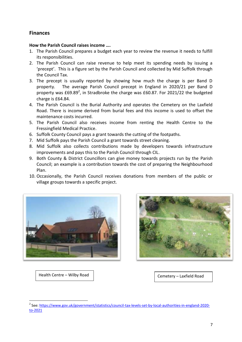#### <span id="page-6-0"></span>**Finances**

#### <span id="page-6-1"></span>**How the Parish Council raises income ….**

- 1. The Parish Council prepares a budget each year to review the revenue it needs to fulfill its responsibilities.
- 2. The Parish Council can raise revenue to help meet its spending needs by issuing a 'precept'. This is a figure set by the Parish Council and collected by Mid Suffolk through the Council Tax.
- 3. The precept is usually reported by showing how much the charge is per Band D property. The average Parish Council precept in England in 2020/21 per Band D property was  $£69.89^2$ , in Stradbroke the charge was £60.87. For 2021/22 the budgeted charge is £64.84.
- 4. The Parish Council is the Burial Authority and operates the Cemetery on the Laxfield Road. There is income derived from burial fees and this income is used to offset the maintenance costs incurred.
- 5. The Parish Council also receives income from renting the Health Centre to the Fressingfield Medical Practice.
- 6. Suffolk County Council pays a grant towards the cutting of the footpaths.
- 7. Mid Suffolk pays the Parish Council a grant towards street cleaning.
- 8. Mid Suffolk also collects contributions made by developers towards infrastructure improvements and pays this to the Parish Council through CIL.
- 9. Both County & District Councillors can give money towards projects run by the Parish Council; an example is a contribution towards the cost of preparing the Neighbourhood Plan.
- 10. Occasionally, the Parish Council receives donations from members of the public or village groups towards a specific project.





Health Centre – Wilby Road

**.** 

Cemetery – Laxfield Road

<sup>&</sup>lt;sup>2</sup> See: [https://www.gov.uk/government/statistics/council-tax-levels-set-by-local-authorities-in-england-2020](https://www.gov.uk/government/statistics/council-tax-levels-set-by-local-authorities-in-england-2020-to-2021) [to-2021](https://www.gov.uk/government/statistics/council-tax-levels-set-by-local-authorities-in-england-2020-to-2021)